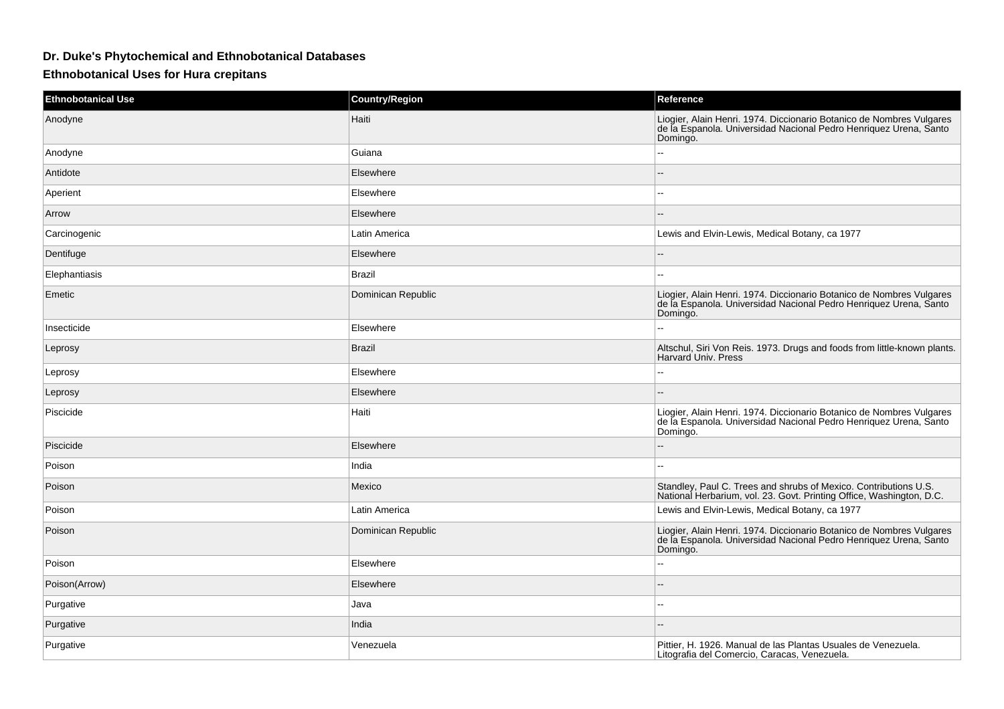## **Dr. Duke's Phytochemical and Ethnobotanical Databases**

**Ethnobotanical Uses for Hura crepitans**

| <b>Ethnobotanical Use</b> | <b>Country/Region</b> | Reference                                                                                                                                             |
|---------------------------|-----------------------|-------------------------------------------------------------------------------------------------------------------------------------------------------|
| Anodyne                   | Haiti                 | Liogier, Alain Henri. 1974. Diccionario Botanico de Nombres Vulgares<br>de la Espanola. Universidad Nacional Pedro Henriquez Urena, Santo<br>Domingo. |
| Anodyne                   | Guiana                | $\overline{a}$                                                                                                                                        |
| Antidote                  | Elsewhere             |                                                                                                                                                       |
| Aperient                  | Elsewhere             |                                                                                                                                                       |
| Arrow                     | Elsewhere             | $=$                                                                                                                                                   |
| Carcinogenic              | Latin America         | Lewis and Elvin-Lewis, Medical Botany, ca 1977                                                                                                        |
| Dentifuge                 | Elsewhere             |                                                                                                                                                       |
| Elephantiasis             | <b>Brazil</b>         | $\overline{a}$                                                                                                                                        |
| Emetic                    | Dominican Republic    | Liogier, Alain Henri. 1974. Diccionario Botanico de Nombres Vulgares<br>de la Espanola. Universidad Nacional Pedro Henriquez Urena, Santo<br>Domingo. |
| Insecticide               | Elsewhere             |                                                                                                                                                       |
| Leprosy                   | <b>Brazil</b>         | Altschul, Siri Von Reis. 1973. Drugs and foods from little-known plants.<br>Harvard Univ. Press                                                       |
| Leprosy                   | Elsewhere             |                                                                                                                                                       |
| Leprosy                   | Elsewhere             |                                                                                                                                                       |
| Piscicide                 | Haiti                 | Liogier, Alain Henri. 1974. Diccionario Botanico de Nombres Vulgares<br>de la Espanola. Universidad Nacional Pedro Henriquez Urena, Santo<br>Domingo. |
| Piscicide                 | Elsewhere             |                                                                                                                                                       |
| Poison                    | India                 | $\overline{a}$                                                                                                                                        |
| Poison                    | Mexico                | Standley, Paul C. Trees and shrubs of Mexico. Contributions U.S.<br>National Herbarium, vol. 23. Govt. Printing Office, Washington, D.C.              |
| Poison                    | Latin America         | Lewis and Elvin-Lewis, Medical Botany, ca 1977                                                                                                        |
| Poison                    | Dominican Republic    | Liogier, Alain Henri. 1974. Diccionario Botanico de Nombres Vulgares<br>de la Espanola. Universidad Nacional Pedro Henriquez Urena, Santo<br>Domingo. |
| Poison                    | Elsewhere             | --                                                                                                                                                    |
| Poison(Arrow)             | Elsewhere             |                                                                                                                                                       |
| Purgative                 | Java                  |                                                                                                                                                       |
| Purgative                 | India                 |                                                                                                                                                       |
| Purgative                 | Venezuela             | Pittier, H. 1926. Manual de las Plantas Usuales de Venezuela.<br>Litografia del Comercio, Caracas, Venezuela.                                         |